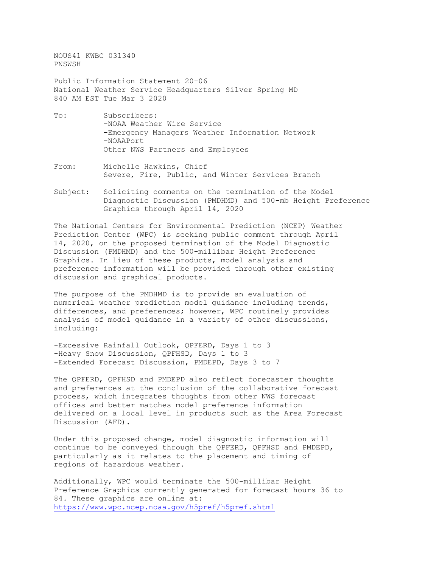NOUS41 KWBC 031340 PNSWSH

Public Information Statement 20-06 National Weather Service Headquarters Silver Spring MD 840 AM EST Tue Mar 3 2020

- To: Subscribers: -NOAA Weather Wire Service -Emergency Managers Weather Information Network -NOAAPort Other NWS Partners and Employees
- From: Michelle Hawkins, Chief Severe, Fire, Public, and Winter Services Branch
- Subject: Soliciting comments on the termination of the Model Diagnostic Discussion (PMDHMD) and 500-mb Height Preference Graphics through April 14, 2020

The National Centers for Environmental Prediction (NCEP) Weather Prediction Center (WPC) is seeking public comment through April 14, 2020, on the proposed termination of the Model Diagnostic Discussion (PMDHMD) and the 500-millibar Height Preference Graphics. In lieu of these products, model analysis and preference information will be provided through other existing discussion and graphical products.

The purpose of the PMDHMD is to provide an evaluation of numerical weather prediction model guidance including trends, differences, and preferences; however, WPC routinely provides analysis of model guidance in a variety of other discussions, including:

-Excessive Rainfall Outlook, QPFERD, Days 1 to 3 -Heavy Snow Discussion, QPFHSD, Days 1 to 3 -Extended Forecast Discussion, PMDEPD, Days 3 to 7

The QPFERD, QPFHSD and PMDEPD also reflect forecaster thoughts and preferences at the conclusion of the collaborative forecast process, which integrates thoughts from other NWS forecast offices and better matches model preference information delivered on a local level in products such as the Area Forecast Discussion (AFD).

Under this proposed change, model diagnostic information will continue to be conveyed through the QPFERD, QPFHSD and PMDEPD, particularly as it relates to the placement and timing of regions of hazardous weather.

Additionally, WPC would terminate the 500-millibar Height Preference Graphics currently generated for forecast hours 36 to 84. These graphics are online at: <https://www.wpc.ncep.noaa.gov/h5pref/h5pref.shtml>